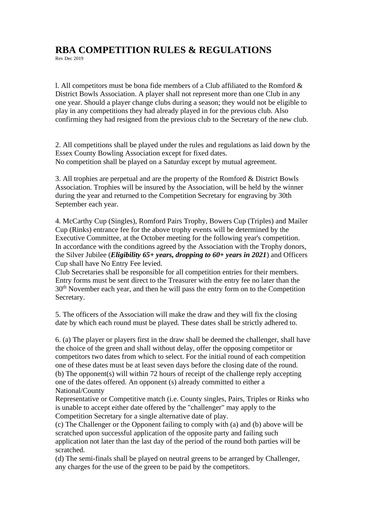## **RBA COMPETITION RULES & REGULATIONS**

Rev Dec 2019

l. All competitors must be bona fide members of a Club affiliated to the Romford & District Bowls Association. A player shall not represent more than one Club in any one year. Should a player change clubs during a season; they would not be eligible to play in any competitions they had already played in for the previous club. Also confirming they had resigned from the previous club to the Secretary of the new club.

2. All competitions shall be played under the rules and regulations as laid down by the Essex County Bowling Association except for fixed dates. No competition shall be played on a Saturday except by mutual agreement.

3. All trophies are perpetual and are the property of the Romford & District Bowls Association. Trophies will be insured by the Association, will be held by the winner during the year and returned to the Competition Secretary for engraving by 30th September each year.

4. McCarthy Cup (Singles), Romford Pairs Trophy, Bowers Cup (Triples) and Mailer Cup (Rinks) entrance fee for the above trophy events will be determined by the Executive Committee, at the October meeting for the following year's competition. In accordance with the conditions agreed by the Association with the Trophy donors, the Silver Jubilee (*Eligibility 65+ years, dropping to 60+ years in 2021*) and Officers Cup shall have No Entry Fee levied.

Club Secretaries shall be responsible for all competition entries for their members. Entry forms must be sent direct to the Treasurer with the entry fee no later than the 30<sup>th</sup> November each year, and then he will pass the entry form on to the Competition Secretary.

5. The officers of the Association will make the draw and they will fix the closing date by which each round must be played. These dates shall be strictly adhered to.

6. (a) The player or players first in the draw shall be deemed the challenger, shall have the choice of the green and shall without delay, offer the opposing competitor or competitors two dates from which to select. For the initial round of each competition one of these dates must be at least seven days before the closing date of the round. (b) The opponent(s) will within 72 hours of receipt of the challenge reply accepting one of the dates offered. An opponent (s) already committed to either a National/County

Representative or Competitive match (i.e. County singles, Pairs, Triples or Rinks who is unable to accept either date offered by the "challenger" may apply to the Competition Secretary for a single alternative date of play.

(c) The Challenger or the Opponent failing to comply with (a) and (b) above will be scratched upon successful application of the opposite party and failing such application not later than the last day of the period of the round both parties will be scratched.

(d) The semi-finals shall be played on neutral greens to be arranged by Challenger, any charges for the use of the green to be paid by the competitors.